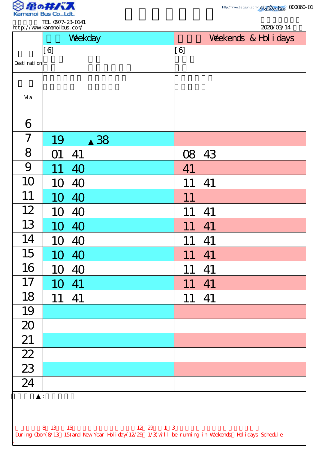

|                 |     | Weekday |    |     |    | Weekends & Hol i days |  |  |
|-----------------|-----|---------|----|-----|----|-----------------------|--|--|
| Desti nati on   | [6] |         |    | [6] |    |                       |  |  |
| Vi a            |     |         |    |     |    |                       |  |  |
| 6               |     |         |    |     |    |                       |  |  |
| 7               | 19  |         | 38 |     |    |                       |  |  |
| 8               | M)  | 41      |    | 08  | 43 |                       |  |  |
| 9               |     | 40      |    | 41  |    |                       |  |  |
| 10              | 10  | 40      |    |     | 41 |                       |  |  |
| 11              | 10  | 40      |    | 11  |    |                       |  |  |
| 12              | 10  | 40      |    |     | 41 |                       |  |  |
| 13              | 10  | 40      |    | 11  | 41 |                       |  |  |
| 14              | 10  | 40      |    | 11  | 41 |                       |  |  |
| 15              | 10  | 40      |    | 11  | 41 |                       |  |  |
| 16              | 10  | 40      |    | 11  | 41 |                       |  |  |
| 17              | 10  | 41      |    | 11  | 41 |                       |  |  |
| 18              | 11  | 41      |    | 11  | 41 |                       |  |  |
| 19              |     |         |    |     |    |                       |  |  |
| 20              |     |         |    |     |    |                       |  |  |
| 21              |     |         |    |     |    |                       |  |  |
| $\frac{1}{22}$  |     |         |    |     |    |                       |  |  |
| $\frac{23}{24}$ |     |         |    |     |    |                       |  |  |
|                 |     |         |    |     |    |                       |  |  |